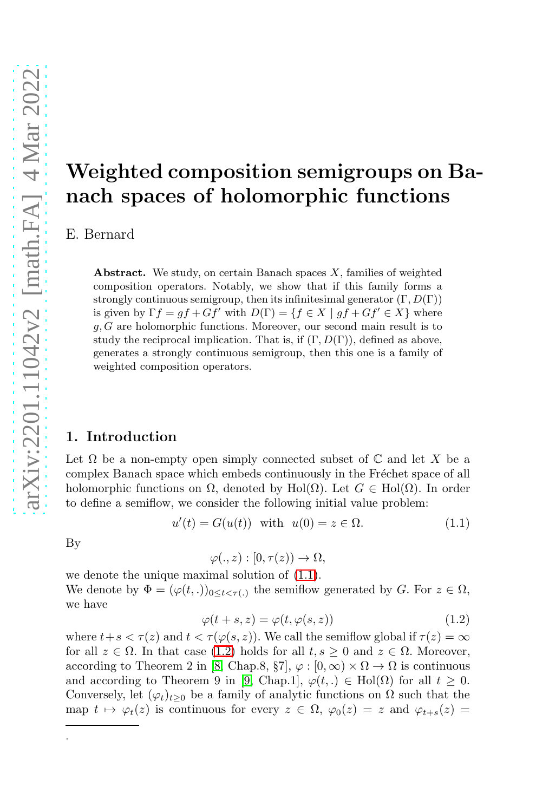# Weighted composition semigroups on Banach spaces of holomorphic functions

E. Bernard

**Abstract.** We study, on certain Banach spaces  $X$ , families of weighted composition operators. Notably, we show that if this family forms a strongly continuous semigroup, then its infinitesimal generator  $(\Gamma, D(\Gamma))$ is given by  $\Gamma f = gf + Gf'$  with  $D(\Gamma) = \{f \in X \mid gf + Gf' \in X\}$  where  $g, G$  are holomorphic functions. Moreover, our second main result is to study the reciprocal implication. That is, if  $(\Gamma, D(\Gamma))$ , defined as above, generates a strongly continuous semigroup, then this one is a family of weighted composition operators.

## 1. Introduction

Let  $\Omega$  be a non-empty open simply connected subset of  $\mathbb C$  and let X be a complex Banach space which embeds continuously in the Fréchet space of all holomorphic functions on  $\Omega$ , denoted by Hol( $\Omega$ ). Let  $G \in Hol(\Omega)$ . In order to define a semiflow, we consider the following initial value problem:

<span id="page-0-0"></span>
$$
u'(t) = G(u(t)) \quad \text{with} \quad u(0) = z \in \Omega. \tag{1.1}
$$

By

.

$$
\varphi(.,z):[0,\tau(z))\to\Omega,
$$

we denote the unique maximal solution of [\(1.1\)](#page-0-0). We denote by  $\Phi = (\varphi(t, .))_{0 \le t \le \tau(.)}$  the semiflow generated by G. For  $z \in \Omega$ , we have

<span id="page-0-1"></span>
$$
\varphi(t+s,z) = \varphi(t,\varphi(s,z))\tag{1.2}
$$

where  $t+s < \tau(z)$  and  $t < \tau(\varphi(s,z))$ . We call the semiflow global if  $\tau(z) = \infty$ for all  $z \in \Omega$ . In that case [\(1.2\)](#page-0-1) holds for all  $t, s \geq 0$  and  $z \in \Omega$ . Moreover, according to Theorem 2 in [\[8,](#page-11-0) Chap.8,  $\S7$ ],  $\varphi$  : [0,  $\infty$ )  $\times \Omega \to \Omega$  is continuous and according to Theorem 9 in [\[9,](#page-11-1) Chap.1],  $\varphi(t,.) \in Hol(\Omega)$  for all  $t \geq 0$ . Conversely, let  $(\varphi_t)_{t>0}$  be a family of analytic functions on  $\Omega$  such that the map  $t \mapsto \varphi_t(z)$  is continuous for every  $z \in \Omega$ ,  $\varphi_0(z) = z$  and  $\varphi_{t+s}(z) = z$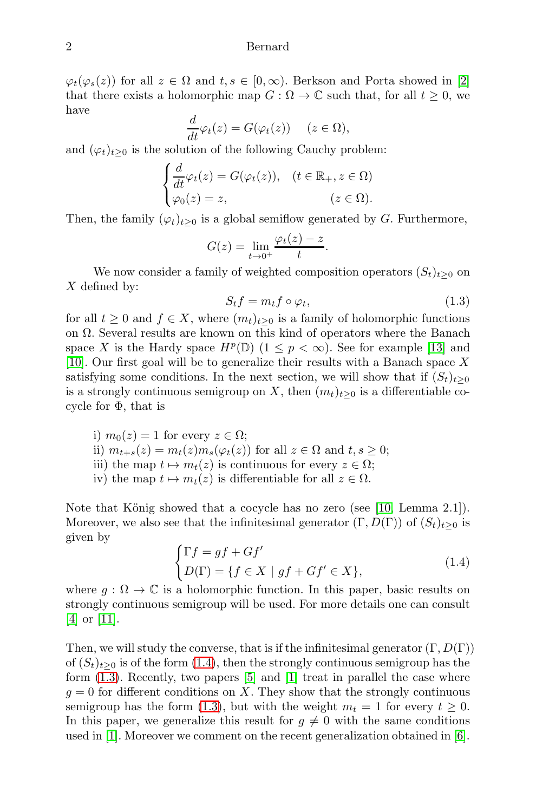$\varphi_t(\varphi_s(z))$  for all  $z \in \Omega$  and  $t, s \in [0,\infty)$ . Berkson and Porta showed in [\[2\]](#page-10-0) that there exists a holomorphic map  $G : \Omega \to \mathbb{C}$  such that, for all  $t \geq 0$ , we have

$$
\frac{d}{dt}\varphi_t(z) = G(\varphi_t(z)) \quad (z \in \Omega),
$$

and  $(\varphi_t)_{t>0}$  is the solution of the following Cauchy problem:

$$
\begin{cases}\n\frac{d}{dt}\varphi_t(z) = G(\varphi_t(z)), & (t \in \mathbb{R}_+, z \in \Omega) \\
\varphi_0(z) = z, & (z \in \Omega).\n\end{cases}
$$

Then, the family  $(\varphi_t)_{t>0}$  is a global semiflow generated by G. Furthermore,

$$
G(z) = \lim_{t \to 0^+} \frac{\varphi_t(z) - z}{t}.
$$

We now consider a family of weighted composition operators  $(S_t)_{t\geq0}$  on  $X$  defined by:

<span id="page-1-1"></span>
$$
S_t f = m_t f \circ \varphi_t,\tag{1.3}
$$

for all  $t \geq 0$  and  $f \in X$ , where  $(m_t)_{t>0}$  is a family of holomorphic functions on Ω. Several results are known on this kind of operators where the Banach space X is the Hardy space  $H^p(\mathbb{D})$   $(1 \leq p < \infty)$ . See for example [\[13\]](#page-11-2) and [\[10\]](#page-11-3). Our first goal will be to generalize their results with a Banach space X satisfying some conditions. In the next section, we will show that if  $(S_t)_{t>0}$ is a strongly continuous semigroup on X, then  $(m_t)_{t>0}$  is a differentiable cocycle for  $\Phi$ , that is

- i)  $m_0(z) = 1$  for every  $z \in \Omega$ ; ii)  $m_{t+s}(z) = m_t(z) m_s(\varphi_t(z))$  for all  $z \in \Omega$  and  $t, s \geq 0$ ; iii) the map  $t \mapsto m_t(z)$  is continuous for every  $z \in \Omega$ ;
- iv) the map  $t \mapsto m_t(z)$  is differentiable for all  $z \in \Omega$ .

Note that König showed that a cocycle has no zero (see [\[10,](#page-11-3) Lemma 2.1]). Moreover, we also see that the infinitesimal generator  $(\Gamma, D(\Gamma))$  of  $(S_t)_{t>0}$  is given by

<span id="page-1-0"></span>
$$
\begin{cases} \Gamma f = gf + Gf' \\ D(\Gamma) = \{ f \in X \mid gf + Gf' \in X \}, \end{cases} \tag{1.4}
$$

where  $q : \Omega \to \mathbb{C}$  is a holomorphic function. In this paper, basic results on strongly continuous semigroup will be used. For more details one can consult [\[4\]](#page-10-1) or [\[11\]](#page-11-4).

Then, we will study the converse, that is if the infinitesimal generator  $(\Gamma, D(\Gamma))$ of  $(S_t)_{t>0}$  is of the form [\(1.4\)](#page-1-0), then the strongly continuous semigroup has the form [\(1.3\)](#page-1-1). Recently, two papers [\[5\]](#page-11-5) and [\[1\]](#page-10-2) treat in parallel the case where  $g = 0$  for different conditions on X. They show that the strongly continuous semigroup has the form [\(1.3\)](#page-1-1), but with the weight  $m_t = 1$  for every  $t \geq 0$ . In this paper, we generalize this result for  $g \neq 0$  with the same conditions used in  $|1|$ . Moreover we comment on the recent generalization obtained in  $|6|$ .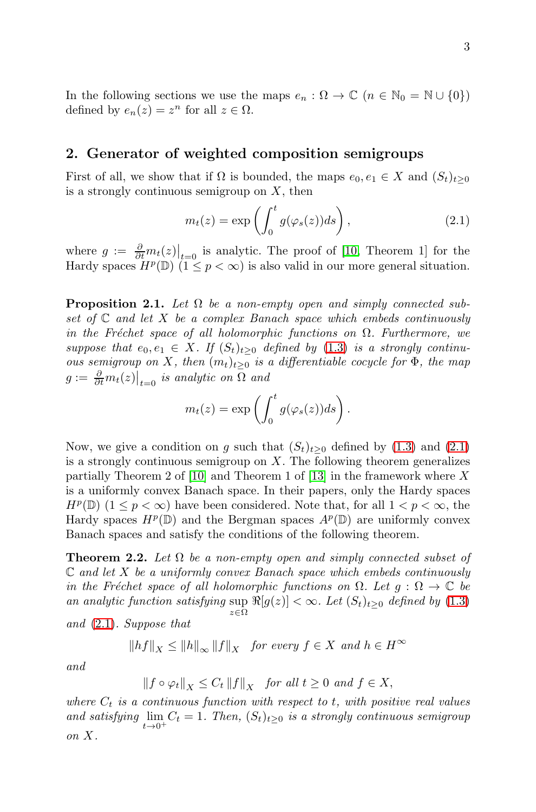In the following sections we use the maps  $e_n : \Omega \to \mathbb{C}$   $(n \in \mathbb{N}_0 = \mathbb{N} \cup \{0\})$ defined by  $e_n(z) = z^n$  for all  $z \in \Omega$ .

## 2. Generator of weighted composition semigroups

First of all, we show that if  $\Omega$  is bounded, the maps  $e_0, e_1 \in X$  and  $(S_t)_{t>0}$ is a strongly continuous semigroup on  $X$ , then

<span id="page-2-0"></span>
$$
m_t(z) = \exp\left(\int_0^t g(\varphi_s(z))ds\right),\tag{2.1}
$$

where  $g := \frac{\partial}{\partial t} m_t(z)|_{t=0}$  is analytic. The proof of [\[10,](#page-11-3) Theorem 1] for the Hardy spaces  $H^p(\mathbb{D})$   $(1 \leq p < \infty)$  is also valid in our more general situation.

**Proposition 2.1.** Let  $\Omega$  be a non-empty open and simply connected subset of  $\mathbb C$  and let X be a complex Banach space which embeds continuously in the Fréchet space of all holomorphic functions on  $\Omega$ . Furthermore, we suppose that  $e_0, e_1 \in X$ . If  $(S_t)_{t>0}$  defined by  $(1.3)$  is a strongly continuous semigroup on X, then  $(m_t)_{t>0}$  is a differentiable cocycle for  $\Phi$ , the map  $g := \frac{\partial}{\partial t} m_t(z) \big|_{t=0}$  is analytic on  $\Omega$  and

$$
m_t(z) = \exp\left(\int_0^t g(\varphi_s(z))ds\right).
$$

Now, we give a condition on g such that  $(S_t)_{t>0}$  defined by  $(1.3)$  and  $(2.1)$ is a strongly continuous semigroup on  $X$ . The following theorem generalizes partially Theorem 2 of [\[10\]](#page-11-3) and Theorem 1 of [\[13\]](#page-11-2) in the framework where X is a uniformly convex Banach space. In their papers, only the Hardy spaces  $H^p(\mathbb{D})$   $(1 \leq p < \infty)$  have been considered. Note that, for all  $1 < p < \infty$ , the Hardy spaces  $H^p(\mathbb{D})$  and the Bergman spaces  $A^p(\mathbb{D})$  are uniformly convex Banach spaces and satisfy the conditions of the following theorem.

**Theorem 2.2.** Let  $\Omega$  be a non-empty open and simply connected subset of  $\mathbb C$  and let X be a uniformly convex Banach space which embeds continuously in the Fréchet space of all holomorphic functions on  $\Omega$ . Let  $g : \Omega \to \mathbb{C}$  be an analytic function satisfying  $\sup \Re[g(z)] < \infty$ . Let  $(S_t)_{t\geq 0}$  defined by  $(1.3)$ z∈Ω

and [\(2.1\)](#page-2-0). Suppose that

$$
||hf||_X \le ||h||_{\infty} ||f||_X \quad \text{for every } f \in X \text{ and } h \in H^{\infty}
$$

and

$$
||f \circ \varphi_t||_X \le C_t ||f||_X \quad \text{for all } t \ge 0 \text{ and } f \in X,
$$

where  $C_t$  is a continuous function with respect to t, with positive real values and satisfying  $\lim_{t\to 0^+} C_t = 1$ . Then,  $(S_t)_{t\geq 0}$  is a strongly continuous semigroup on X.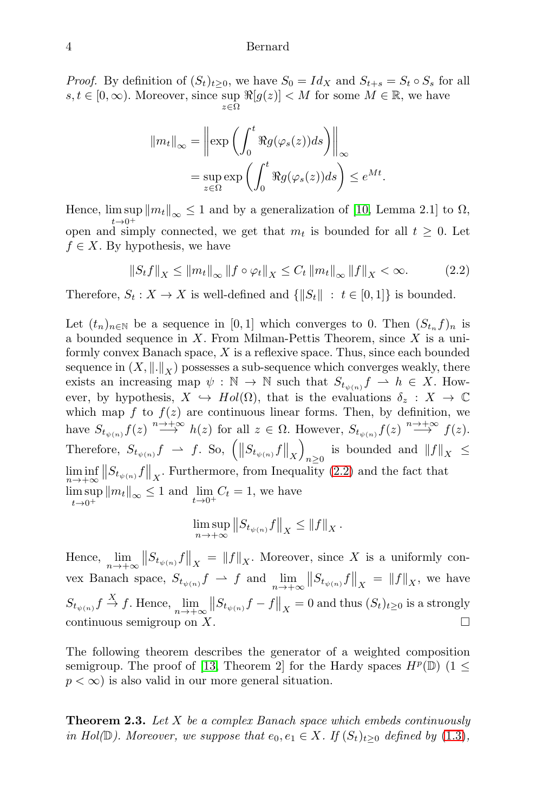*Proof.* By definition of  $(S_t)_{t>0}$ , we have  $S_0 = Id_X$  and  $S_{t+s} = S_t \circ S_s$  for all  $s, t \in [0, \infty)$ . Moreover, since sup  $\Re[g(z)] < M$  for some  $M \in \mathbb{R}$ , we have z∈Ω

$$
||m_t||_{\infty} = \left\| \exp \left( \int_0^t \Re g(\varphi_s(z)) ds \right) \right\|_{\infty}
$$
  
= 
$$
\sup_{z \in \Omega} \exp \left( \int_0^t \Re g(\varphi_s(z)) ds \right) \le e^{Mt}.
$$

Hence,  $\limsup_{k \to \infty} \|m_k\|_{\infty} \leq 1$  and by a generalization of [\[10,](#page-11-3) Lemma 2.1] to  $\Omega$ ,  $t\rightarrow 0^+$ open and simply connected, we get that  $m_t$  is bounded for all  $t \geq 0$ . Let  $f \in X$ . By hypothesis, we have

<span id="page-3-0"></span>
$$
||S_t f||_X \le ||m_t||_{\infty} ||f \circ \varphi_t||_X \le C_t ||m_t||_{\infty} ||f||_X < \infty.
$$
 (2.2)

Therefore,  $S_t : X \to X$  is well-defined and  $\{||S_t|| : t \in [0,1]\}$  is bounded.

Let  $(t_n)_{n\in\mathbb{N}}$  be a sequence in [0, 1] which converges to 0. Then  $(S_{t_n}f)_n$  is a bounded sequence in  $X$ . From Milman-Pettis Theorem, since  $X$  is a uniformly convex Banach space,  $X$  is a reflexive space. Thus, since each bounded sequence in  $(X, \|.\|_X)$  possesses a sub-sequence which converges weakly, there exists an increasing map  $\psi : \mathbb{N} \to \mathbb{N}$  such that  $S_{t_{\psi(n)}} f \rightharpoonup h \in X$ . However, by hypothesis,  $X \hookrightarrow Hol(\Omega)$ , that is the evaluations  $\delta_z : X \to \mathbb{C}$ which map f to  $f(z)$  are continuous linear forms. Then, by definition, we have  $S_{t_{\psi(n)}} f(z) \stackrel{n \to +\infty}{\longrightarrow} h(z)$  for all  $z \in \Omega$ . However,  $S_{t_{\psi(n)}} f(z) \stackrel{n \to +\infty}{\longrightarrow} f(z)$ . Therefore,  $S_{t_{\psi(n)}} f \rightarrow f$ . So,  $\left( \left\| S_{t_{\psi(n)}} f \right\|_{X} \right)$ is bounded and  $||f||_X \leq$  $\liminf_{n\to+\infty} \|S_{t_{\psi(n)}} f\|_X$ . Furthermore, from Inequality [\(2.2\)](#page-3-0) and the fact that lim sup  $\limsup_{t\to 0^+} ||m_t||_{\infty} \leq 1$  and  $\lim_{t\to 0^+} C_t = 1$ , we have

$$
\limsup_{n\to+\infty}||S_{t_{\psi(n)}}f||_X\leq ||f||_X.
$$

Hence,  $\lim_{n\to+\infty} \|S_{t_{\psi(n)}}f\|_X = \|f\|_X$ . Moreover, since X is a uniformly convex Banach space,  $S_{t_{\psi(n)}} f \rightharpoonup f$  and  $\lim_{n \to +\infty} ||S_{t_{\psi(n)}} f||_X = ||f||_X$ , we have  $S_{t_{\psi(n)}} f \stackrel{X}{\to} f$ . Hence,  $\lim_{n \to +\infty} ||S_{t_{\psi(n)}} f - f||_X = 0$  and thus  $(S_t)_{t \geq 0}$  is a strongly continuous semigroup on  $X$ .

The following theorem describes the generator of a weighted composition semigroup. The proof of [\[13,](#page-11-2) Theorem 2] for the Hardy spaces  $H^p(\mathbb{D})$  (1  $\leq$  $p < \infty$ ) is also valid in our more general situation.

<span id="page-3-1"></span>**Theorem 2.3.** Let  $X$  be a complex Banach space which embeds continuously in Hol( $\mathbb{D}$ ). Moreover, we suppose that  $e_0, e_1 \in X$ . If  $(S_t)_{t>0}$  defined by [\(1.3\)](#page-1-1),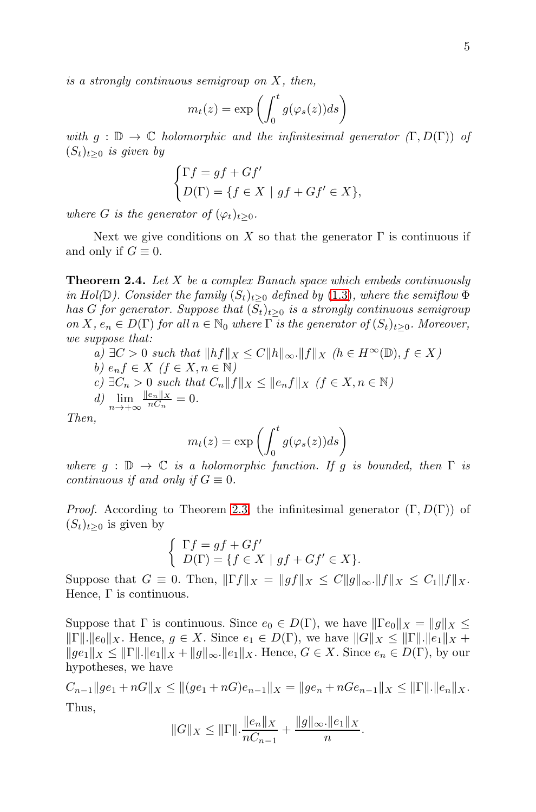is a strongly continuous semigroup on X, then,

$$
m_t(z) = \exp\left(\int_0^t g(\varphi_s(z))ds\right)
$$

with  $g : \mathbb{D} \to \mathbb{C}$  holomorphic and the infinitesimal generator  $(\Gamma, D(\Gamma))$  of  $(S_t)_{t>0}$  is given by

$$
\begin{cases}\n\Gamma f = gf + Gf' \\
D(\Gamma) = \{f \in X \mid gf + Gf' \in X\},\n\end{cases}
$$

where G is the generator of  $(\varphi_t)_{t\geq0}$ .

Next we give conditions on X so that the generator  $\Gamma$  is continuous if and only if  $G \equiv 0$ .

<span id="page-4-0"></span>**Theorem 2.4.** Let  $X$  be a complex Banach space which embeds continuously in Hol( $\mathbb{D}$ ). Consider the family  $(S_t)_{t>0}$  defined by [\(1.3\)](#page-1-1), where the semiflow  $\Phi$ has G for generator. Suppose that  $(S_t)_{t>0}$  is a strongly continuous semigroup on X,  $e_n \in D(\Gamma)$  for all  $n \in \mathbb{N}_0$  where  $\Gamma$  is the generator of  $(S_t)_{t>0}$ . Moreover, we suppose that:

a)  $\exists C > 0$  such that  $||hf||_X \leq C||h||_{\infty}$ . $||f||_X$  ( $h \in H^{\infty}(\mathbb{D})$ ,  $f \in X$ ) b)  $e_n f \in X \ (f \in X, n \in \mathbb{N})$ c)  $\exists C_n > 0$  such that  $C_n ||f||_X \leq ||e_n f||_X$  ( $f \in X, n \in \mathbb{N}$ ) d)  $\lim_{n \to +\infty} \frac{\|e_n\|_X}{nC_n}$  $\frac{e_n||X}{nC_n} = 0.$ 

Then,

$$
m_t(z) = \exp\left(\int_0^t g(\varphi_s(z))ds\right)
$$

where  $g : \mathbb{D} \to \mathbb{C}$  is a holomorphic function. If g is bounded, then  $\Gamma$  is continuous if and only if  $G \equiv 0$ .

*Proof.* According to Theorem [2.3,](#page-3-1) the infinitesimal generator  $(\Gamma, D(\Gamma))$  of  $(S_t)_{t>0}$  is given by

$$
\begin{cases}\n\Gamma f = gf + Gf' \\
D(\Gamma) = \{ f \in X \mid gf + Gf' \in X \}.\n\end{cases}
$$

Suppose that  $G \equiv 0$ . Then,  $||\Gamma f||_X = ||g f||_X \leq C||g||_{\infty} ||f||_X \leq C_1 ||f||_X$ . Hence,  $\Gamma$  is continuous.

Suppose that  $\Gamma$  is continuous. Since  $e_0 \in D(\Gamma)$ , we have  $\|\Gamma e_0\|_X = \|g\|_X \le$  $\|\Gamma\|.\|e_0\|_X$ . Hence,  $g \in X$ . Since  $e_1 \in D(\Gamma)$ , we have  $\|G\|_X \leq \|\Gamma\|.\|e_1\|_X +$  $||ge_1||_X \le ||\Gamma|| \cdot ||e_1||_X + ||g||_\infty ||e_1||_X$ . Hence,  $G \in X$ . Since  $e_n \in D(\Gamma)$ , by our hypotheses, we have

 $C_{n-1}||ge_1 + nG||_X \leq ||(ge_1 + nG)e_{n-1}||_X = ||ge_n + nGe_{n-1}||_X \leq ||\Gamma|| \cdot ||e_n||_X.$ Thus,

$$
||G||_X \le ||\Gamma|| \cdot \frac{||e_n||_X}{nC_{n-1}} + \frac{||g||_{\infty} \cdot ||e_1||_X}{n}.
$$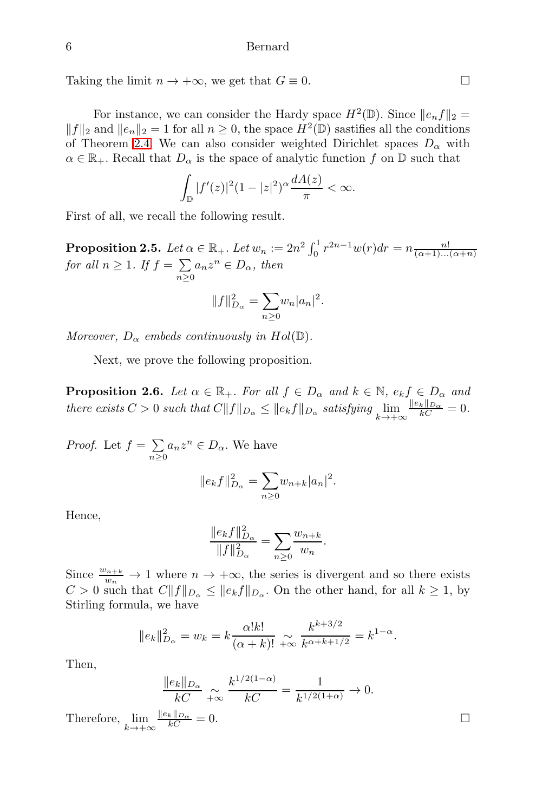Taking the limit  $n \to +\infty$ , we get that  $G \equiv 0$ .

For instance, we can consider the Hardy space  $H^2(\mathbb{D})$ . Since  $||e_n f||_2 =$  $||f||_2$  and  $||e_n||_2 = 1$  for all  $n \geq 0$ , the space  $H^2(\mathbb{D})$  sastifies all the conditions of Theorem [2.4.](#page-4-0) We can also consider weighted Dirichlet spaces  $D_{\alpha}$  with  $\alpha \in \mathbb{R}_+$ . Recall that  $D_{\alpha}$  is the space of analytic function f on D such that

$$
\int_{\mathbb{D}} |f'(z)|^2 (1-|z|^2)^{\alpha} \frac{dA(z)}{\pi} < \infty.
$$

First of all, we recall the following result.

**Proposition 2.5.** Let  $\alpha \in \mathbb{R}_+$ . Let  $w_n := 2n^2 \int_0^1 r^{2n-1} w(r) dr = n \frac{n!}{(\alpha+1)...(\alpha+n)}$ for all  $n \geq 1$ . If  $f = \sum$  $\sum_{n\geq 0} a_n z^n \in D_\alpha$ , then

$$
||f||_{D_{\alpha}}^2 = \sum_{n\geq 0} w_n |a_n|^2.
$$

Moreover,  $D_{\alpha}$  embeds continuously in Hol( $\mathbb{D}$ ).

Next, we prove the following proposition.

**Proposition 2.6.** Let  $\alpha \in \mathbb{R}_+$ . For all  $f \in D_\alpha$  and  $k \in \mathbb{N}$ ,  $e_k f \in D_\alpha$  and there exists  $C > 0$  such that  $C||f||_{D_{\alpha}} \leq ||e_k f||_{D_{\alpha}}$  satisfying  $\lim_{k \to +\infty}$  $\frac{\|e_k\|_{D_{\alpha}}}{kC} = 0.$ 

*Proof.* Let  $f = \sum$  $\sum_{n\geq 0} a_n z^n \in D_\alpha$ . We have

$$
||e_k f||_{D_{\alpha}}^2 = \sum_{n\geq 0} w_{n+k} |a_n|^2.
$$

Hence,

$$
\frac{\|e_k f\|_{D_\alpha}^2}{\|f\|_{D_\alpha}^2} = \sum_{n\geq 0} \frac{w_{n+k}}{w_n}.
$$

Since  $\frac{w_{n+k}}{w_n} \to 1$  where  $n \to +\infty$ , the series is divergent and so there exists  $C > 0$  such that  $C||f||_{D_{\alpha}} \leq ||e_k f||_{D_{\alpha}}$ . On the other hand, for all  $k \geq 1$ , by Stirling formula, we have

$$
||e_k||_{D_{\alpha}}^2 = w_k = k \frac{\alpha! k!}{(\alpha + k)!} \underset{+\infty}{\sim} \frac{k^{k+3/2}}{k^{\alpha + k + 1/2}} = k^{1-\alpha}.
$$

Then,

$$
\frac{\|e_k\|_{D_{\alpha}}}{kC} \underset{k \to +\infty}{\sim} \frac{k^{1/2(1-\alpha)}}{kC} = \frac{1}{k^{1/2(1+\alpha)}} \to 0.
$$
  
Therefore, 
$$
\lim_{k \to +\infty} \frac{\|e_k\|_{D_{\alpha}}}{kC} = 0.
$$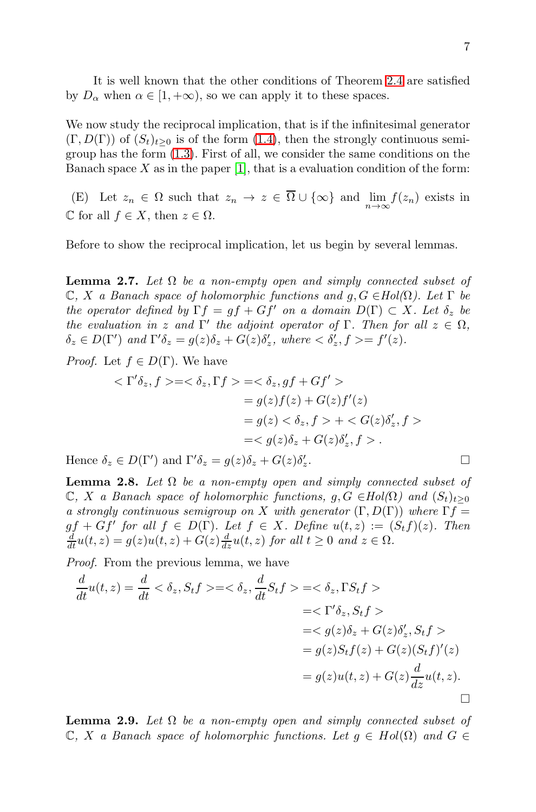It is well known that the other conditions of Theorem [2.4](#page-4-0) are satisfied by  $D_{\alpha}$  when  $\alpha \in [1, +\infty)$ , so we can apply it to these spaces.

We now study the reciprocal implication, that is if the infinitesimal generator  $(\Gamma, D(\Gamma))$  of  $(S_t)_{t>0}$  is of the form  $(1.4)$ , then the strongly continuous semigroup has the form [\(1.3\)](#page-1-1). First of all, we consider the same conditions on the Banach space X as in the paper  $[1]$ , that is a evaluation condition of the form:

(E) Let  $z_n \in \Omega$  such that  $z_n \to z \in \Omega \cup \{\infty\}$  and  $\lim_{n \to \infty} f(z_n)$  exists in C for all  $f \in X$ , then  $z \in \Omega$ .

Before to show the reciprocal implication, let us begin by several lemmas.

**Lemma 2.7.** Let  $\Omega$  be a non-empty open and simply connected subset of  $\mathbb{C}, X$  a Banach space of holomorphic functions and  $g, G \in Hol(\Omega)$ . Let  $\Gamma$  be the operator defined by  $\Gamma f = gf + Gf'$  on a domain  $D(\Gamma) \subset X$ . Let  $\delta_z$  be the evaluation in z and  $\Gamma'$  the adjoint operator of  $\Gamma$ . Then for all  $z \in \Omega$ ,  $\delta_z \in D(\Gamma')$  and  $\Gamma' \delta_z = g(z) \delta_z + G(z) \delta'_z$ , where  $\langle \delta'_z, f \rangle = f'(z)$ .

*Proof.* Let  $f \in D(\Gamma)$ . We have

$$
\langle \Gamma' \delta_z, f \rangle = \langle \delta_z, \Gamma f \rangle = \langle \delta_z, gf + Gf' \rangle
$$
  
=  $g(z)f(z) + G(z)f'(z)$   
=  $g(z) \langle \delta_z, f \rangle + \langle G(z)\delta'_z, f \rangle$   
=  $\langle g(z)\delta_z + G(z)\delta'_z, f \rangle$ .  
 $\in D(\Gamma')$  and  $\Gamma' \delta_z = g(z)\delta_z + G(z)\delta'_z$ .

Hence  $\delta_z \in D(\Gamma')$  and  $\Gamma' \delta_z = g(z)\delta_z + G(z)\delta_z'$ 

<span id="page-6-1"></span>**Lemma 2.8.** Let  $\Omega$  be a non-empty open and simply connected subset of  $\mathbb{C}, X$  a Banach space of holomorphic functions,  $g, G \in Hol(\Omega)$  and  $(S_t)_{t>0}$ a strongly continuous semigroup on X with generator  $(\Gamma, D(\Gamma))$  where  $\Gamma f =$  $gf + Gf'$  for all  $f \in D(\Gamma)$ . Let  $f \in X$ . Define  $u(t, z) := (S_t f)(z)$ . Then  $\frac{d}{dt}u(t,z) = g(z)u(t,z) + G(z)\frac{d}{dz}u(t,z)$  for all  $t \ge 0$  and  $z \in \Omega$ .

Proof. From the previous lemma, we have

$$
\frac{d}{dt}u(t,z) = \frac{d}{dt} < \delta_z, S_t f> = < \delta_z, \frac{d}{dt}S_t f> = < \delta_z, \Gamma S_t f> \n= < \Gamma' \delta_z, S_t f> \n= < g(z)\delta_z + G(z)\delta'_z, S_t f> \n= g(z)S_t f(z) + G(z)(S_t f)'(z) \n= g(z)u(t,z) + G(z)\frac{d}{dz}u(t,z).
$$

<span id="page-6-0"></span>**Lemma 2.9.** Let  $\Omega$  be a non-empty open and simply connected subset of  $\mathbb{C}, X$  a Banach space of holomorphic functions. Let  $g \in Hol(\Omega)$  and  $G \in$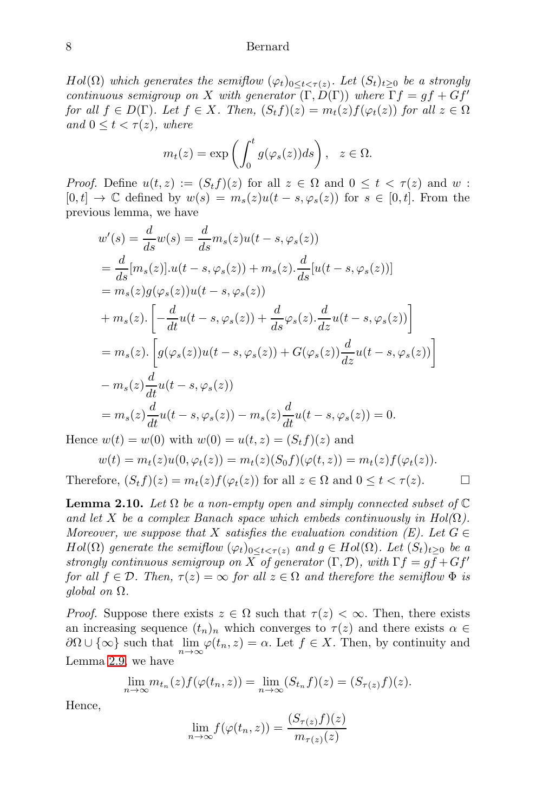$Hol(\Omega)$  which generates the semiflow  $(\varphi_t)_{0\leq t<\tau(z)}$ . Let  $(S_t)_{t\geq 0}$  be a strongly continuous semigroup on X with generator  $(\Gamma, D(\Gamma))$  where  $\Gamma f = gf + Gf'$ for all  $f \in D(\Gamma)$ . Let  $f \in X$ . Then,  $(S_t f)(z) = m_t(z) f(\varphi_t(z))$  for all  $z \in \Omega$ and  $0 \leq t \leq \tau(z)$ , where

$$
m_t(z) = \exp\left(\int_0^t g(\varphi_s(z))ds\right), \ z \in \Omega.
$$

*Proof.* Define  $u(t, z) := (S_t f)(z)$  for all  $z \in \Omega$  and  $0 \le t < \tau(z)$  and w:  $[0, t] \rightarrow \mathbb{C}$  defined by  $w(s) = m_s(z)u(t - s, \varphi_s(z))$  for  $s \in [0, t]$ . From the previous lemma, we have

$$
w'(s) = \frac{d}{ds}w(s) = \frac{d}{ds}m_s(z)u(t-s,\varphi_s(z))
$$
  
\n
$$
= \frac{d}{ds}[m_s(z)].u(t-s,\varphi_s(z)) + m_s(z).\frac{d}{ds}[u(t-s,\varphi_s(z))]
$$
  
\n
$$
= m_s(z)g(\varphi_s(z))u(t-s,\varphi_s(z))
$$
  
\n
$$
+ m_s(z).\left[-\frac{d}{dt}u(t-s,\varphi_s(z)) + \frac{d}{ds}\varphi_s(z).\frac{d}{dz}u(t-s,\varphi_s(z))\right]
$$
  
\n
$$
= m_s(z).\left[g(\varphi_s(z))u(t-s,\varphi_s(z)) + G(\varphi_s(z))\frac{d}{dz}u(t-s,\varphi_s(z))\right]
$$
  
\n
$$
- m_s(z)\frac{d}{dt}u(t-s,\varphi_s(z))
$$
  
\n
$$
= m_s(z)\frac{d}{dt}u(t-s,\varphi_s(z)) - m_s(z)\frac{d}{dt}u(t-s,\varphi_s(z)) = 0.
$$

Hence  $w(t) = w(0)$  with  $w(0) = u(t, z) = (S_t f)(z)$  and

$$
w(t) = m_t(z)u(0, \varphi_t(z)) = m_t(z)(S_0 f)(\varphi(t, z)) = m_t(z)f(\varphi_t(z)).
$$

Therefore,  $(S_t f)(z) = m_t(z) f(\varphi_t(z))$  for all  $z \in \Omega$  and  $0 \le t < \tau(z)$ .

<span id="page-7-0"></span>**Lemma 2.10.** Let  $\Omega$  be a non-empty open and simply connected subset of  $\mathbb C$ and let X be a complex Banach space which embeds continuously in  $Hol(\Omega)$ . Moreover, we suppose that X satisfies the evaluation condition (E). Let  $G \in$  $Hol(\Omega)$  generate the semiflow  $(\varphi_t)_{0 \leq t \leq \tau(z)}$  and  $g \in Hol(\Omega)$ . Let  $(S_t)_{t>0}$  be a strongly continuous semigroup on X of generator  $(\Gamma, \mathcal{D})$ , with  $\Gamma f = gf + Gf'$ for all  $f \in \mathcal{D}$ . Then,  $\tau(z) = \infty$  for all  $z \in \Omega$  and therefore the semiflow  $\Phi$  is global on  $\Omega$ .

*Proof.* Suppose there exists  $z \in \Omega$  such that  $\tau(z) < \infty$ . Then, there exists an increasing sequence  $(t_n)_n$  which converges to  $\tau(z)$  and there exists  $\alpha \in$  $\partial\Omega \cup {\infty}$  such that  $\lim_{n\to\infty} \varphi(t_n, z) = \alpha$ . Let  $f \in X$ . Then, by continuity and Lemma [2.9,](#page-6-0) we have

$$
\lim_{n \to \infty} m_{t_n}(z) f(\varphi(t_n, z)) = \lim_{n \to \infty} (S_{t_n} f)(z) = (S_{\tau(z)} f)(z).
$$

Hence,

$$
\lim_{n \to \infty} f(\varphi(t_n, z)) = \frac{(S_{\tau(z)}f)(z)}{m_{\tau(z)}(z)}
$$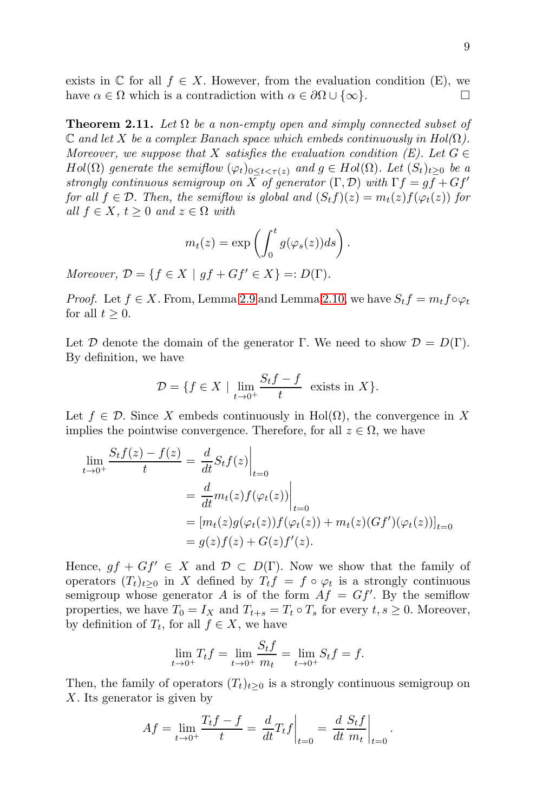exists in  $\mathbb C$  for all  $f \in X$ . However, from the evaluation condition (E), we have  $\alpha \in \Omega$  which is a contradiction with  $\alpha \in \partial\Omega \cup {\infty}$ .

**Theorem 2.11.** Let  $\Omega$  be a non-empty open and simply connected subset of  $\mathbb C$  and let X be a complex Banach space which embeds continuously in Hol( $\Omega$ ). Moreover, we suppose that X satisfies the evaluation condition (E). Let  $G \in$  $Hol(\Omega)$  generate the semiflow  $(\varphi_t)_{0 \leq t \leq \tau(z)}$  and  $g \in Hol(\Omega)$ . Let  $(S_t)_{t>0}$  be a strongly continuous semigroup on X of generator  $(\Gamma, \mathcal{D})$  with  $\Gamma f = gf + Gf'$ for all  $f \in \mathcal{D}$ . Then, the semiflow is global and  $(S_t f)(z) = m_t(z) f(\varphi_t(z))$  for all  $f \in X$ ,  $t \geq 0$  and  $z \in \Omega$  with

$$
m_t(z) = \exp\left(\int_0^t g(\varphi_s(z))ds\right).
$$

Moreover,  $\mathcal{D} = \{f \in X \mid gf + Gf' \in X\} =: D(\Gamma).$ 

*Proof.* Let  $f \in X$ . From, Lemma [2.9](#page-6-0) and Lemma [2.10,](#page-7-0) we have  $S_t f = m_t f \circ \varphi_t$ for all  $t \geq 0$ .

Let D denote the domain of the generator Γ. We need to show  $\mathcal{D} = D(\Gamma)$ . By definition, we have

$$
\mathcal{D} = \{ f \in X \mid \lim_{t \to 0^+} \frac{S_t f - f}{t} \text{ exists in } X \}.
$$

Let  $f \in \mathcal{D}$ . Since X embeds continuously in Hol( $\Omega$ ), the convergence in X implies the pointwise convergence. Therefore, for all  $z \in \Omega$ , we have

$$
\lim_{t \to 0^+} \frac{S_t f(z) - f(z)}{t} = \left. \frac{d}{dt} S_t f(z) \right|_{t=0}
$$
\n
$$
= \left. \frac{d}{dt} m_t(z) f(\varphi_t(z)) \right|_{t=0}
$$
\n
$$
= [m_t(z) g(\varphi_t(z)) f(\varphi_t(z)) + m_t(z) (Gf')(\varphi_t(z))]_{t=0}
$$
\n
$$
= g(z) f(z) + G(z) f'(z).
$$

Hence,  $gf + Gf' \in X$  and  $\mathcal{D} \subset D(\Gamma)$ . Now we show that the family of operators  $(T_t)_{t>0}$  in X defined by  $T_t f = f \circ \varphi_t$  is a strongly continuous semigroup whose generator A is of the form  $Af = Gf'$ . By the semiflow properties, we have  $T_0 = I_X$  and  $T_{t+s} = T_t \circ T_s$  for every  $t, s \geq 0$ . Moreover, by definition of  $T_t$ , for all  $f \in X$ , we have

$$
\lim_{t \to 0^+} T_t f = \lim_{t \to 0^+} \frac{S_t f}{m_t} = \lim_{t \to 0^+} S_t f = f.
$$

Then, the family of operators  $(T_t)_{t>0}$  is a strongly continuous semigroup on X. Its generator is given by

$$
Af = \lim_{t \to 0^+} \frac{T_t f - f}{t} = \left. \frac{d}{dt} T_t f \right|_{t=0} = \left. \frac{d}{dt} \frac{S_t f}{m_t} \right|_{t=0}.
$$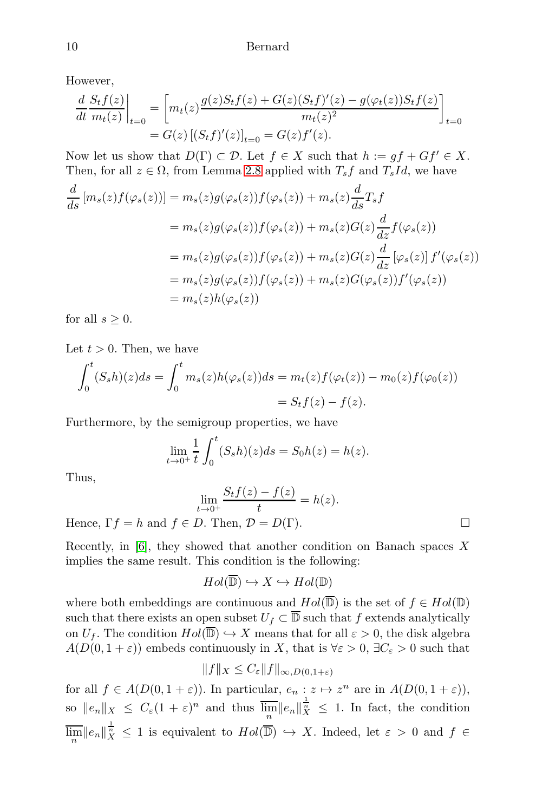However,

$$
\frac{d}{dt} \frac{S_t f(z)}{m_t(z)}\Big|_{t=0} = \left[m_t(z) \frac{g(z)S_t f(z) + G(z)(S_t f)'(z) - g(\varphi_t(z))S_t f(z)}{m_t(z)^2}\right]_{t=0}
$$
  
=  $G(z) [(S_t f)'(z)]_{t=0} = G(z) f'(z).$ 

Now let us show that  $D(\Gamma) \subset \mathcal{D}$ . Let  $f \in X$  such that  $h := gf + Gf' \in X$ . Then, for all  $z \in \Omega$ , from Lemma [2.8](#page-6-1) applied with  $T_s f$  and  $T_s Id$ , we have

$$
\frac{d}{ds} [m_s(z)f(\varphi_s(z))] = m_s(z)g(\varphi_s(z))f(\varphi_s(z)) + m_s(z)\frac{d}{ds}T_sf
$$
  
\n
$$
= m_s(z)g(\varphi_s(z))f(\varphi_s(z)) + m_s(z)G(z)\frac{d}{dz}f(\varphi_s(z))
$$
  
\n
$$
= m_s(z)g(\varphi_s(z))f(\varphi_s(z)) + m_s(z)G(z)\frac{d}{dz}[\varphi_s(z)]f'(\varphi_s(z))
$$
  
\n
$$
= m_s(z)g(\varphi_s(z))f(\varphi_s(z)) + m_s(z)G(\varphi_s(z))f'(\varphi_s(z))
$$
  
\n
$$
= m_s(z)h(\varphi_s(z))
$$

for all  $s \geq 0$ .

Let  $t > 0$ . Then, we have

$$
\int_0^t (S_s h)(z)ds = \int_0^t m_s(z)h(\varphi_s(z))ds = m_t(z)f(\varphi_t(z)) - m_0(z)f(\varphi_0(z))
$$
  
=  $S_t f(z) - f(z)$ .

Furthermore, by the semigroup properties, we have

$$
\lim_{t \to 0^+} \frac{1}{t} \int_0^t (S_s h)(z) ds = S_0 h(z) = h(z).
$$

Thus,

$$
\lim_{t \to 0^+} \frac{S_t f(z) - f(z)}{t} = h(z).
$$
  
Hence,  $\Gamma f = h$  and  $f \in D$ . Then,  $\mathcal{D} = D(\Gamma)$ .

Recently, in  $[6]$ , they showed that another condition on Banach spaces X implies the same result. This condition is the following:

$$
Hol(\overline{\mathbb{D}}) \hookrightarrow X \hookrightarrow Hol(\mathbb{D})
$$

where both embeddings are continuous and  $Hol(\overline{\mathbb{D}})$  is the set of  $f \in Hol(\mathbb{D})$ such that there exists an open subset  $U_f \subset \overline{\mathbb{D}}$  such that f extends analytically on  $U_f$ . The condition  $Hol(\overline{\mathbb{D}}) \hookrightarrow X$  means that for all  $\varepsilon > 0$ , the disk algebra  $A(D(0, 1 + \varepsilon))$  embeds continuously in X, that is  $\forall \varepsilon > 0$ ,  $\exists C_{\varepsilon} > 0$  such that

$$
||f||_X \leq C_{\varepsilon} ||f||_{\infty,D(0,1+\varepsilon)}
$$

for all  $f \in A(D(0, 1 + \varepsilon))$ . In particular,  $e_n : z \mapsto z^n$  are in  $A(D(0, 1 + \varepsilon))$ , so  $||e_n||_X \leq C_{\varepsilon} (1+\varepsilon)^n$  and thus  $\overline{\lim_n} ||e_n||_X^{\frac{1}{n}} \leq 1$ . In fact, the condition  $\overline{\lim}_{n} ||e_{n}||_{X}^{\frac{1}{n}} \leq 1$  is equivalent to  $Hol(\overline{\mathbb{D}}) \hookrightarrow X$ . Indeed, let  $\varepsilon > 0$  and  $f \in$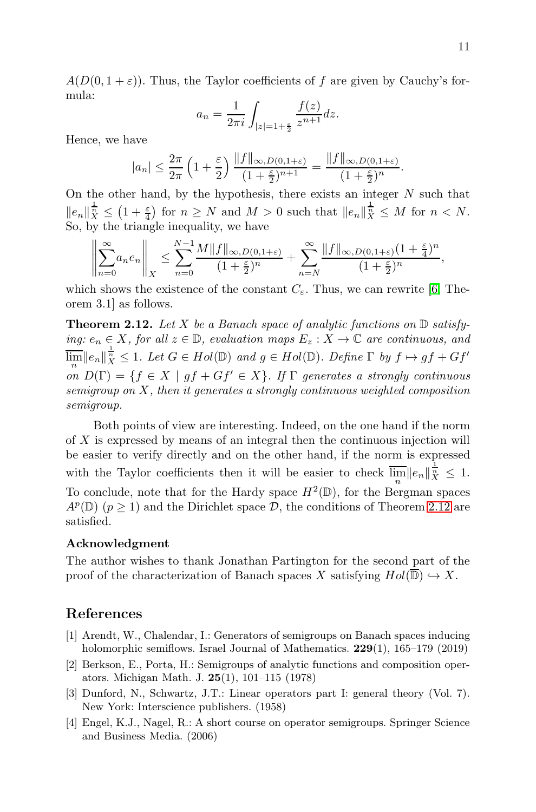$A(D(0, 1 + \varepsilon))$ . Thus, the Taylor coefficients of f are given by Cauchy's formula:

$$
a_n = \frac{1}{2\pi i} \int_{|z|=1+\frac{\varepsilon}{2}} \frac{f(z)}{z^{n+1}} dz.
$$

Hence, we have

$$
|a_n| \le \frac{2\pi}{2\pi} \left(1 + \frac{\varepsilon}{2}\right) \frac{\|f\|_{\infty, D(0, 1+\varepsilon)}}{(1 + \frac{\varepsilon}{2})^{n+1}} = \frac{\|f\|_{\infty, D(0, 1+\varepsilon)}}{(1 + \frac{\varepsilon}{2})^n}.
$$

On the other hand, by the hypothesis, there exists an integer  $N$  such that  $||e_n||_X^{\frac{1}{n}} \leq (1+\frac{\varepsilon}{4})$  for  $n \geq N$  and  $M > 0$  such that  $||e_n||_X^{\frac{1}{n}} \leq M$  for  $n < N$ . So, by the triangle inequality, we have

$$
\left\|\sum_{n=0}^{\infty}a_ne_n\right\|_X \le \sum_{n=0}^{N-1}\frac{M\|f\|_{\infty,D(0,1+\varepsilon)}}{(1+\frac{\varepsilon}{2})^n} + \sum_{n=N}^{\infty}\frac{\|f\|_{\infty,D(0,1+\varepsilon)}(1+\frac{\varepsilon}{4})^n}{(1+\frac{\varepsilon}{2})^n},
$$

which shows the existence of the constant  $C_{\varepsilon}$ . Thus, we can rewrite [\[6,](#page-11-6) Theorem 3.1] as follows.

<span id="page-10-3"></span>**Theorem 2.12.** Let X be a Banach space of analytic functions on  $\mathbb{D}$  satisfying:  $e_n \in X$ , for all  $z \in \mathbb{D}$ , evaluation maps  $E_z : X \to \mathbb{C}$  are continuous, and  $\overline{\lim_{n}} \|e_{n}\|_{X}^{\frac{1}{n}} \leq 1.$  Let  $G \in Hol(\mathbb{D})$  and  $g \in Hol(\mathbb{D})$ . Define  $\Gamma$  by  $f \mapsto gf + Gf'$ on  $D(\Gamma) = \{f \in X \mid gf + Gf' \in X\}$ . If  $\Gamma$  generates a strongly continuous semigroup on  $X$ , then it generates a strongly continuous weighted composition semigroup.

Both points of view are interesting. Indeed, on the one hand if the norm of X is expressed by means of an integral then the continuous injection will be easier to verify directly and on the other hand, if the norm is expressed with the Taylor coefficients then it will be easier to check  $\overline{\lim_n} ||e_n||_X^{\frac{1}{n}} \leq 1$ . To conclude, note that for the Hardy space  $H^2(\mathbb{D})$ , for the Bergman spaces  $A^p(\mathbb{D})$  ( $p \ge 1$ ) and the Dirichlet space  $\mathcal{D}$ , the conditions of Theorem [2.12](#page-10-3) are satisfied.

#### Acknowledgment

The author wishes to thank Jonathan Partington for the second part of the proof of the characterization of Banach spaces X satisfying  $Hol(\overline{\mathbb{D}}) \hookrightarrow X$ .

## <span id="page-10-2"></span>References

- [1] Arendt, W., Chalendar, I.: Generators of semigroups on Banach spaces inducing holomorphic semiflows. Israel Journal of Mathematics. 229(1), 165–179 (2019)
- <span id="page-10-0"></span>[2] Berkson, E., Porta, H.: Semigroups of analytic functions and composition operators. Michigan Math. J. 25(1), 101–115 (1978)
- [3] Dunford, N., Schwartz, J.T.: Linear operators part I: general theory (Vol. 7). New York: Interscience publishers. (1958)
- <span id="page-10-1"></span>[4] Engel, K.J., Nagel, R.: A short course on operator semigroups. Springer Science and Business Media. (2006)